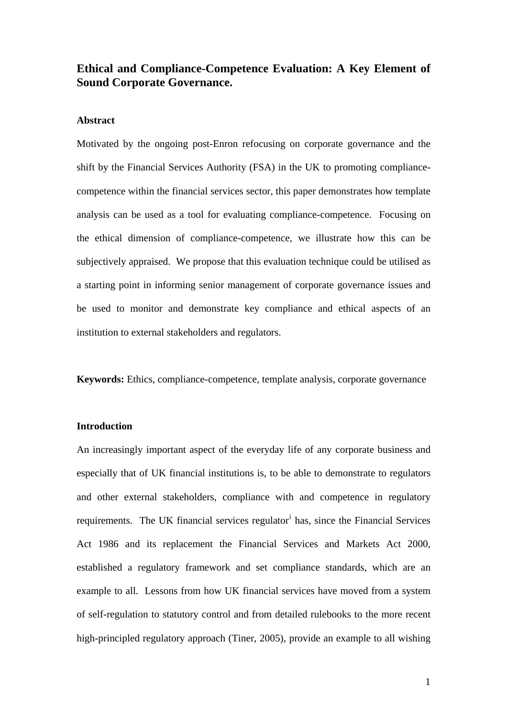# **Ethical and Compliance-Competence Evaluation: A Key Element of Sound Corporate Governance.**

## **Abstract**

Motivated by the ongoing post-Enron refocusing on corporate governance and the shift by the Financial Services Authority (FSA) in the UK to promoting compliancecompetence within the financial services sector, this paper demonstrates how template analysis can be used as a tool for evaluating compliance-competence. Focusing on the ethical dimension of compliance-competence, we illustrate how this can be subjectively appraised. We propose that this evaluation technique could be utilised as a starting point in informing senior management of corporate governance issues and be used to monitor and demonstrate key compliance and ethical aspects of an institution to external stakeholders and regulators.

**Keywords:** Ethics, compliance-competence, template analysis, corporate governance

## **Introduction**

An increasingly important aspect of the everyday life of any corporate business and especially that of UK financial institutions is, to be able to demonstrate to regulators and other external stakeholders, compliance with and competence in regulatory requ[i](#page-24-0)rements. The UK financial services regulator<sup>i</sup> has, since the Financial Services Act 1986 and its replacement the Financial Services and Markets Act 2000, established a regulatory framework and set compliance standards, which are an example to all. Lessons from how UK financial services have moved from a system of self-regulation to statutory control and from detailed rulebooks to the more recent high-principled regulatory approach (Tiner, 2005), provide an example to all wishing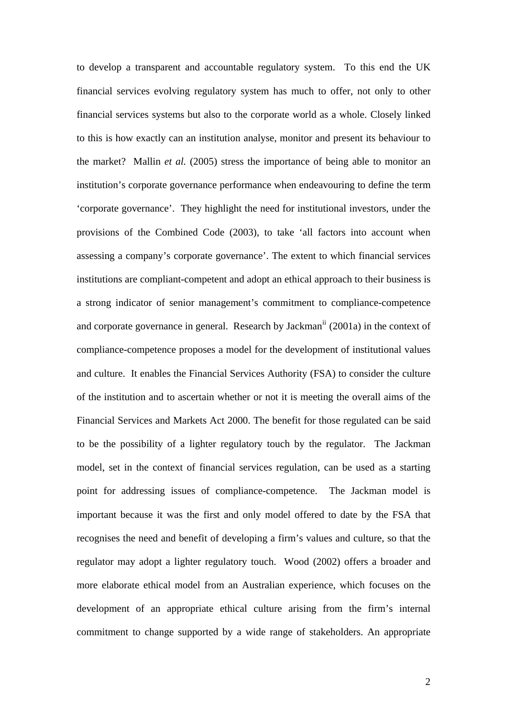to develop a transparent and accountable regulatory system. To this end the UK financial services evolving regulatory system has much to offer, not only to other financial services systems but also to the corporate world as a whole. Closely linked to this is how exactly can an institution analyse, monitor and present its behaviour to the market? Mallin *et al.* (2005) stress the importance of being able to monitor an institution's corporate governance performance when endeavouring to define the term 'corporate governance'. They highlight the need for institutional investors, under the provisions of the Combined Code (2003), to take 'all factors into account when assessing a company's corporate governance'. The extent to which financial services institutions are compliant-competent and adopt an ethical approach to their business is a strong indicator of senior management's commitment to compliance-competence and corporate governance in general. Research by Jackman<sup>[ii](#page-24-1)</sup> (2001a) in the context of compliance-competence proposes a model for the development of institutional values and culture. It enables the Financial Services Authority (FSA) to consider the culture of the institution and to ascertain whether or not it is meeting the overall aims of the Financial Services and Markets Act 2000. The benefit for those regulated can be said to be the possibility of a lighter regulatory touch by the regulator. The Jackman model, set in the context of financial services regulation, can be used as a starting point for addressing issues of compliance-competence. The Jackman model is important because it was the first and only model offered to date by the FSA that recognises the need and benefit of developing a firm's values and culture, so that the regulator may adopt a lighter regulatory touch. Wood (2002) offers a broader and more elaborate ethical model from an Australian experience, which focuses on the development of an appropriate ethical culture arising from the firm's internal commitment to change supported by a wide range of stakeholders. An appropriate

2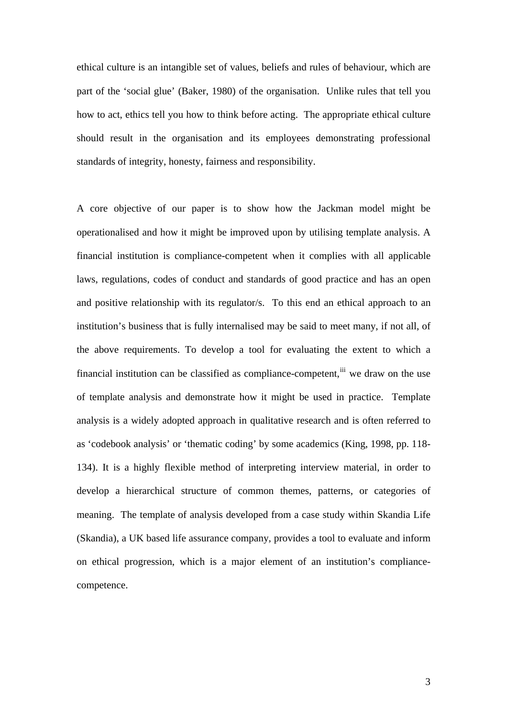ethical culture is an intangible set of values, beliefs and rules of behaviour, which are part of the 'social glue' (Baker, 1980) of the organisation. Unlike rules that tell you how to act, ethics tell you how to think before acting. The appropriate ethical culture should result in the organisation and its employees demonstrating professional standards of integrity, honesty, fairness and responsibility.

A core objective of our paper is to show how the Jackman model might be operationalised and how it might be improved upon by utilising template analysis. A financial institution is compliance-competent when it complies with all applicable laws, regulations, codes of conduct and standards of good practice and has an open and positive relationship with its regulator/s. To this end an ethical approach to an institution's business that is fully internalised may be said to meet many, if not all, of the above requirements. To develop a tool for evaluating the extent to which a financial institution can be classified as compliance-competent,  $\ddot{u}$  we draw on the use of template analysis and demonstrate how it might be used in practice. Template analysis is a widely adopted approach in qualitative research and is often referred to as 'codebook analysis' or 'thematic coding' by some academics (King, 1998, pp. 118- 134). It is a highly flexible method of interpreting interview material, in order to develop a hierarchical structure of common themes, patterns, or categories of meaning. The template of analysis developed from a case study within Skandia Life (Skandia), a UK based life assurance company, provides a tool to evaluate and inform on ethical progression, which is a major element of an institution's compliancecompetence.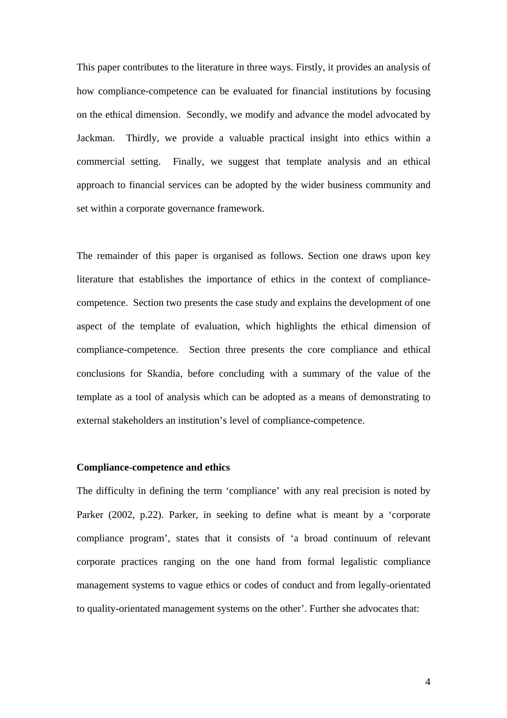This paper contributes to the literature in three ways. Firstly, it provides an analysis of how compliance-competence can be evaluated for financial institutions by focusing on the ethical dimension. Secondly, we modify and advance the model advocated by Jackman. Thirdly, we provide a valuable practical insight into ethics within a commercial setting. Finally, we suggest that template analysis and an ethical approach to financial services can be adopted by the wider business community and set within a corporate governance framework.

The remainder of this paper is organised as follows. Section one draws upon key literature that establishes the importance of ethics in the context of compliancecompetence. Section two presents the case study and explains the development of one aspect of the template of evaluation, which highlights the ethical dimension of compliance-competence. Section three presents the core compliance and ethical conclusions for Skandia, before concluding with a summary of the value of the template as a tool of analysis which can be adopted as a means of demonstrating to external stakeholders an institution's level of compliance-competence.

### **Compliance-competence and ethics**

The difficulty in defining the term 'compliance' with any real precision is noted by Parker (2002, p.22). Parker, in seeking to define what is meant by a 'corporate compliance program', states that it consists of 'a broad continuum of relevant corporate practices ranging on the one hand from formal legalistic compliance management systems to vague ethics or codes of conduct and from legally-orientated to quality-orientated management systems on the other'. Further she advocates that: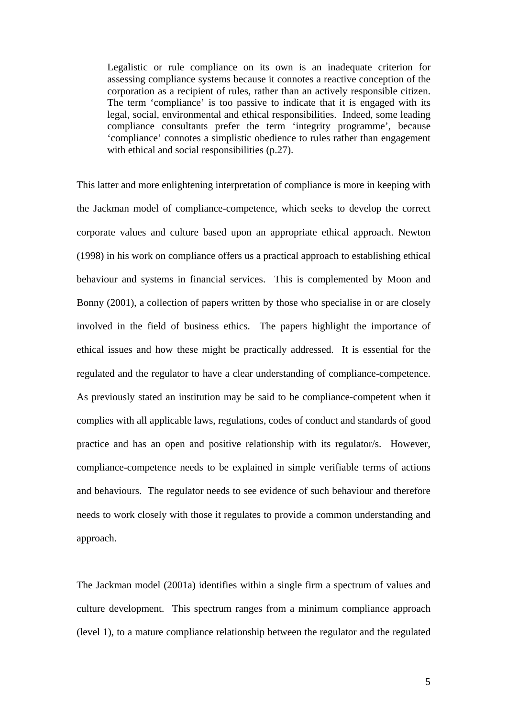Legalistic or rule compliance on its own is an inadequate criterion for assessing compliance systems because it connotes a reactive conception of the corporation as a recipient of rules, rather than an actively responsible citizen. The term 'compliance' is too passive to indicate that it is engaged with its legal, social, environmental and ethical responsibilities. Indeed, some leading compliance consultants prefer the term 'integrity programme', because 'compliance' connotes a simplistic obedience to rules rather than engagement with ethical and social responsibilities (p.27).

This latter and more enlightening interpretation of compliance is more in keeping with the Jackman model of compliance-competence, which seeks to develop the correct corporate values and culture based upon an appropriate ethical approach. Newton (1998) in his work on compliance offers us a practical approach to establishing ethical behaviour and systems in financial services. This is complemented by Moon and Bonny (2001), a collection of papers written by those who specialise in or are closely involved in the field of business ethics. The papers highlight the importance of ethical issues and how these might be practically addressed. It is essential for the regulated and the regulator to have a clear understanding of compliance-competence. As previously stated an institution may be said to be compliance-competent when it complies with all applicable laws, regulations, codes of conduct and standards of good practice and has an open and positive relationship with its regulator/s. However, compliance-competence needs to be explained in simple verifiable terms of actions and behaviours. The regulator needs to see evidence of such behaviour and therefore needs to work closely with those it regulates to provide a common understanding and approach.

The Jackman model (2001a) identifies within a single firm a spectrum of values and culture development. This spectrum ranges from a minimum compliance approach (level 1), to a mature compliance relationship between the regulator and the regulated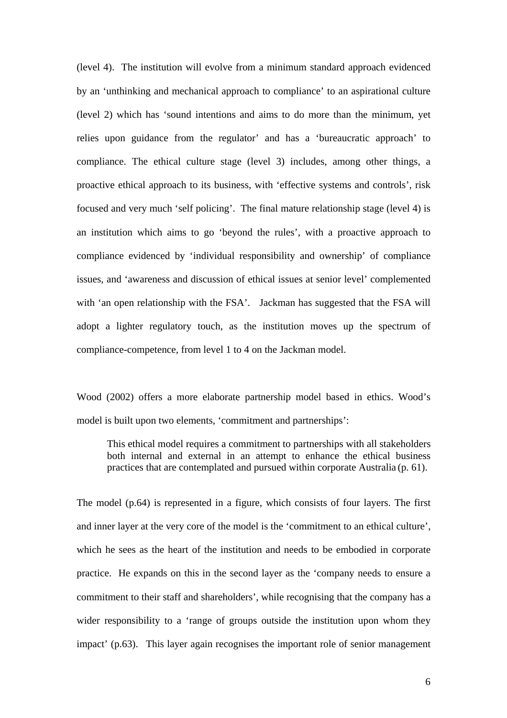(level 4). The institution will evolve from a minimum standard approach evidenced by an 'unthinking and mechanical approach to compliance' to an aspirational culture (level 2) which has 'sound intentions and aims to do more than the minimum, yet relies upon guidance from the regulator' and has a 'bureaucratic approach' to compliance. The ethical culture stage (level 3) includes, among other things, a proactive ethical approach to its business, with 'effective systems and controls', risk focused and very much 'self policing'. The final mature relationship stage (level 4) is an institution which aims to go 'beyond the rules', with a proactive approach to compliance evidenced by 'individual responsibility and ownership' of compliance issues, and 'awareness and discussion of ethical issues at senior level' complemented with 'an open relationship with the FSA'. Jackman has suggested that the FSA will adopt a lighter regulatory touch, as the institution moves up the spectrum of compliance-competence, from level 1 to 4 on the Jackman model.

Wood (2002) offers a more elaborate partnership model based in ethics. Wood's model is built upon two elements, 'commitment and partnerships':

This ethical model requires a commitment to partnerships with all stakeholders both internal and external in an attempt to enhance the ethical business practices that are contemplated and pursued within corporate Australia (p. 61).

The model (p.64) is represented in a figure, which consists of four layers. The first and inner layer at the very core of the model is the 'commitment to an ethical culture', which he sees as the heart of the institution and needs to be embodied in corporate practice. He expands on this in the second layer as the 'company needs to ensure a commitment to their staff and shareholders', while recognising that the company has a wider responsibility to a 'range of groups outside the institution upon whom they impact' (p.63). This layer again recognises the important role of senior management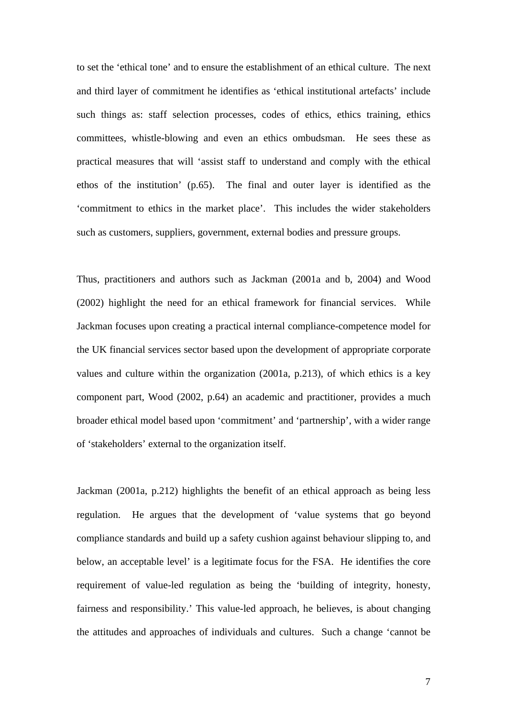to set the 'ethical tone' and to ensure the establishment of an ethical culture. The next and third layer of commitment he identifies as 'ethical institutional artefacts' include such things as: staff selection processes, codes of ethics, ethics training, ethics committees, whistle-blowing and even an ethics ombudsman. He sees these as practical measures that will 'assist staff to understand and comply with the ethical ethos of the institution' (p.65). The final and outer layer is identified as the 'commitment to ethics in the market place'. This includes the wider stakeholders such as customers, suppliers, government, external bodies and pressure groups.

Thus, practitioners and authors such as Jackman (2001a and b, 2004) and Wood (2002) highlight the need for an ethical framework for financial services. While Jackman focuses upon creating a practical internal compliance-competence model for the UK financial services sector based upon the development of appropriate corporate values and culture within the organization (2001a, p.213), of which ethics is a key component part, Wood (2002, p.64) an academic and practitioner, provides a much broader ethical model based upon 'commitment' and 'partnership', with a wider range of 'stakeholders' external to the organization itself.

Jackman (2001a, p.212) highlights the benefit of an ethical approach as being less regulation. He argues that the development of 'value systems that go beyond compliance standards and build up a safety cushion against behaviour slipping to, and below, an acceptable level' is a legitimate focus for the FSA. He identifies the core requirement of value-led regulation as being the 'building of integrity, honesty, fairness and responsibility.' This value-led approach, he believes, is about changing the attitudes and approaches of individuals and cultures. Such a change 'cannot be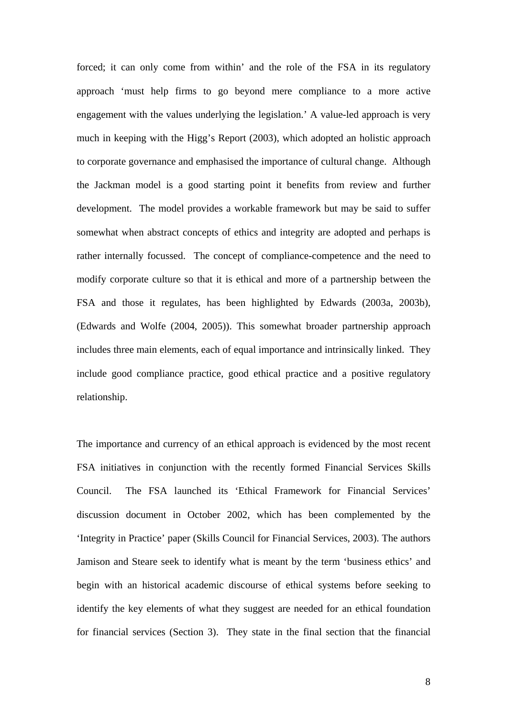forced; it can only come from within' and the role of the FSA in its regulatory approach 'must help firms to go beyond mere compliance to a more active engagement with the values underlying the legislation.' A value-led approach is very much in keeping with the Higg's Report (2003), which adopted an holistic approach to corporate governance and emphasised the importance of cultural change. Although the Jackman model is a good starting point it benefits from review and further development. The model provides a workable framework but may be said to suffer somewhat when abstract concepts of ethics and integrity are adopted and perhaps is rather internally focussed.The concept of compliance-competence and the need to modify corporate culture so that it is ethical and more of a partnership between the FSA and those it regulates, has been highlighted by Edwards (2003a, 2003b), (Edwards and Wolfe (2004, 2005)). This somewhat broader partnership approach includes three main elements, each of equal importance and intrinsically linked. They include good compliance practice, good ethical practice and a positive regulatory relationship.

The importance and currency of an ethical approach is evidenced by the most recent FSA initiatives in conjunction with the recently formed Financial Services Skills Council. The FSA launched its 'Ethical Framework for Financial Services' discussion document in October 2002, which has been complemented by the 'Integrity in Practice' paper (Skills Council for Financial Services, 2003). The authors Jamison and Steare seek to identify what is meant by the term 'business ethics' and begin with an historical academic discourse of ethical systems before seeking to identify the key elements of what they suggest are needed for an ethical foundation for financial services (Section 3). They state in the final section that the financial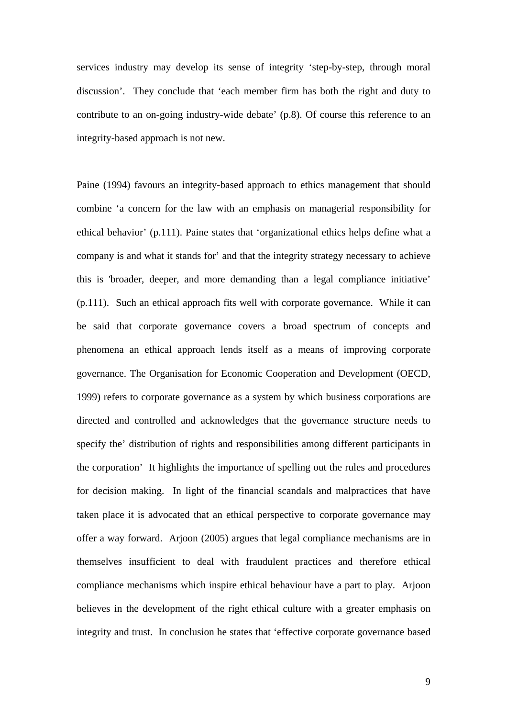services industry may develop its sense of integrity 'step-by-step, through moral discussion'. They conclude that 'each member firm has both the right and duty to contribute to an on-going industry-wide debate' (p.8). Of course this reference to an integrity-based approach is not new.

Paine (1994) favours an integrity-based approach to ethics management that should combine 'a concern for the law with an emphasis on managerial responsibility for ethical behavior' (p.111). Paine states that 'organizational ethics helps define what a company is and what it stands for' and that the integrity strategy necessary to achieve this is 'broader, deeper, and more demanding than a legal compliance initiative' (p.111).Such an ethical approach fits well with corporate governance. While it can be said that corporate governance covers a broad spectrum of concepts and phenomena an ethical approach lends itself as a means of improving corporate governance. The Organisation for Economic Cooperation and Development (OECD, 1999) refers to corporate governance as a system by which business corporations are directed and controlled and acknowledges that the governance structure needs to specify the' distribution of rights and responsibilities among different participants in the corporation' It highlights the importance of spelling out the rules and procedures for decision making. In light of the financial scandals and malpractices that have taken place it is advocated that an ethical perspective to corporate governance may offer a way forward. Arjoon (2005) argues that legal compliance mechanisms are in themselves insufficient to deal with fraudulent practices and therefore ethical compliance mechanisms which inspire ethical behaviour have a part to play. Arjoon believes in the development of the right ethical culture with a greater emphasis on integrity and trust. In conclusion he states that 'effective corporate governance based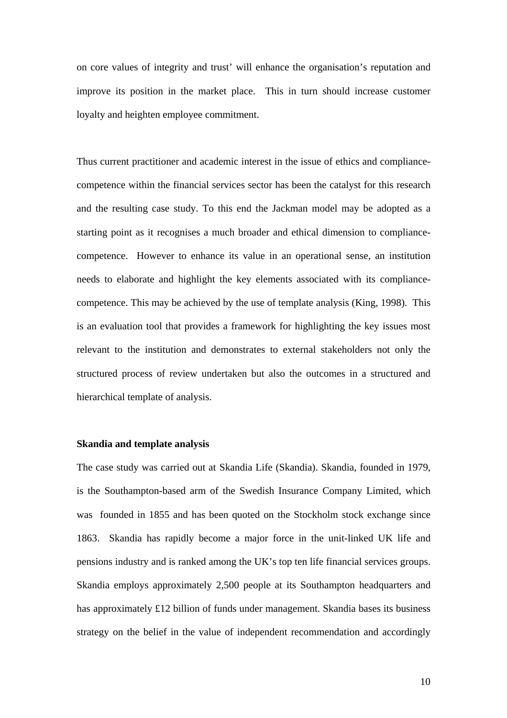on core values of integrity and trust' will enhance the organisation's reputation and improve its position in the market place. This in turn should increase customer loyalty and heighten employee commitment.

Thus current practitioner and academic interest in the issue of ethics and compliancecompetence within the financial services sector has been the catalyst for this research and the resulting case study. To this end the Jackman model may be adopted as a starting point as it recognises a much broader and ethical dimension to compliancecompetence. However to enhance its value in an operational sense, an institution needs to elaborate and highlight the key elements associated with its compliancecompetence. This may be achieved by the use of template analysis (King, 1998). This is an evaluation tool that provides a framework for highlighting the key issues most relevant to the institution and demonstrates to external stakeholders not only the structured process of review undertaken but also the outcomes in a structured and hierarchical template of analysis.

#### **Skandia and template analysis**

The case study was carried out at Skandia Life (Skandia). Skandia, founded in 1979, is the Southampton-based arm of the Swedish Insurance Company Limited, which was founded in 1855 and has been quoted on the Stockholm stock exchange since 1863. Skandia has rapidly become a major force in the unit-linked UK life and pensions industry and is ranked among the UK's top ten life financial services groups. Skandia employs approximately 2,500 people at its Southampton headquarters and has approximately £12 billion of funds under management. Skandia bases its business strategy on the belief in the value of independent recommendation and accordingly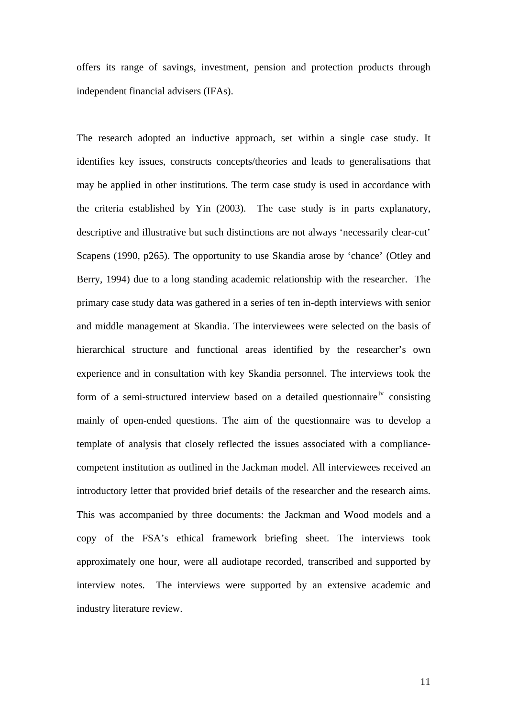offers its range of savings, investment, pension and protection products through independent financial advisers (IFAs).

The research adopted an inductive approach, set within a single case study. It identifies key issues, constructs concepts/theories and leads to generalisations that may be applied in other institutions. The term case study is used in accordance with the criteria established by Yin (2003). The case study is in parts explanatory, descriptive and illustrative but such distinctions are not always 'necessarily clear-cut' Scapens (1990, p265). The opportunity to use Skandia arose by 'chance' (Otley and Berry, 1994) due to a long standing academic relationship with the researcher. The primary case study data was gathered in a series of ten in-depth interviews with senior and middle management at Skandia. The interviewees were selected on the basis of hierarchical structure and functional areas identified by the researcher's own experience and in consultation with key Skandia personnel. The interviews took the form of a semi-structured interview based on a detailed questionnaire<sup>[iv](#page-24-1)</sup> consisting mainly of open-ended questions. The aim of the questionnaire was to develop a template of analysis that closely reflected the issues associated with a compliancecompetent institution as outlined in the Jackman model. All interviewees received an introductory letter that provided brief details of the researcher and the research aims. This was accompanied by three documents: the Jackman and Wood models and a copy of the FSA's ethical framework briefing sheet. The interviews took approximately one hour, were all audiotape recorded, transcribed and supported by interview notes. The interviews were supported by an extensive academic and industry literature review.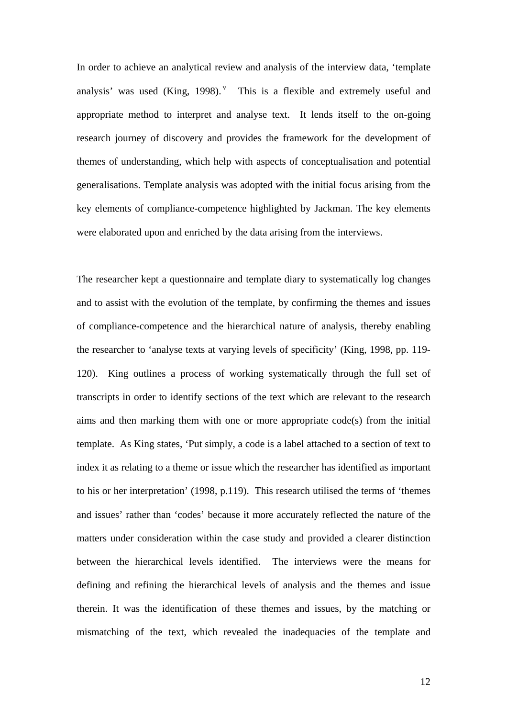In order to achieve an analytical review and analysis of the interview data, 'template analysis' was used  $(King, 1998)$ . This is a flexible and extremely useful and appropriate method to interpret and analyse text. It lends itself to the on-going research journey of discovery and provides the framework for the development of themes of understanding, which help with aspects of conceptualisation and potential generalisations. Template analysis was adopted with the initial focus arising from the key elements of compliance-competence highlighted by Jackman. The key elements were elaborated upon and enriched by the data arising from the interviews.

The researcher kept a questionnaire and template diary to systematically log changes and to assist with the evolution of the template, by confirming the themes and issues of compliance-competence and the hierarchical nature of analysis, thereby enabling the researcher to 'analyse texts at varying levels of specificity' (King, 1998, pp. 119- 120). King outlines a process of working systematically through the full set of transcripts in order to identify sections of the text which are relevant to the research aims and then marking them with one or more appropriate code(s) from the initial template. As King states, 'Put simply, a code is a label attached to a section of text to index it as relating to a theme or issue which the researcher has identified as important to his or her interpretation' (1998, p.119). This research utilised the terms of 'themes and issues' rather than 'codes' because it more accurately reflected the nature of the matters under consideration within the case study and provided a clearer distinction between the hierarchical levels identified. The interviews were the means for defining and refining the hierarchical levels of analysis and the themes and issue therein. It was the identification of these themes and issues, by the matching or mismatching of the text, which revealed the inadequacies of the template and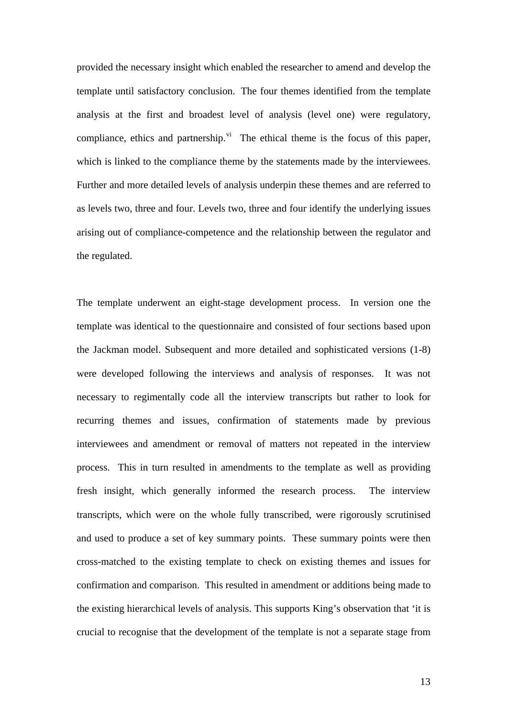provided the necessary insight which enabled the researcher to amend and develop the template until satisfactory conclusion. The four themes identified from the template analysis at the first and broadest level of analysis (level one) were regulatory, compliance, ethics and partnership. $\overline{v}$ <sup>i</sup> The ethical theme is the focus of this paper, which is linked to the compliance theme by the statements made by the interviewees. Further and more detailed levels of analysis underpin these themes and are referred to as levels two, three and four. Levels two, three and four identify the underlying issues arising out of compliance-competence and the relationship between the regulator and the regulated.

The template underwent an eight-stage development process. In version one the template was identical to the questionnaire and consisted of four sections based upon the Jackman model. Subsequent and more detailed and sophisticated versions (1-8) were developed following the interviews and analysis of responses. It was not necessary to regimentally code all the interview transcripts but rather to look for recurring themes and issues, confirmation of statements made by previous interviewees and amendment or removal of matters not repeated in the interview process. This in turn resulted in amendments to the template as well as providing fresh insight, which generally informed the research process. The interview transcripts, which were on the whole fully transcribed, were rigorously scrutinised and used to produce a set of key summary points. These summary points were then cross-matched to the existing template to check on existing themes and issues for confirmation and comparison. This resulted in amendment or additions being made to the existing hierarchical levels of analysis. This supports King's observation that 'it is crucial to recognise that the development of the template is not a separate stage from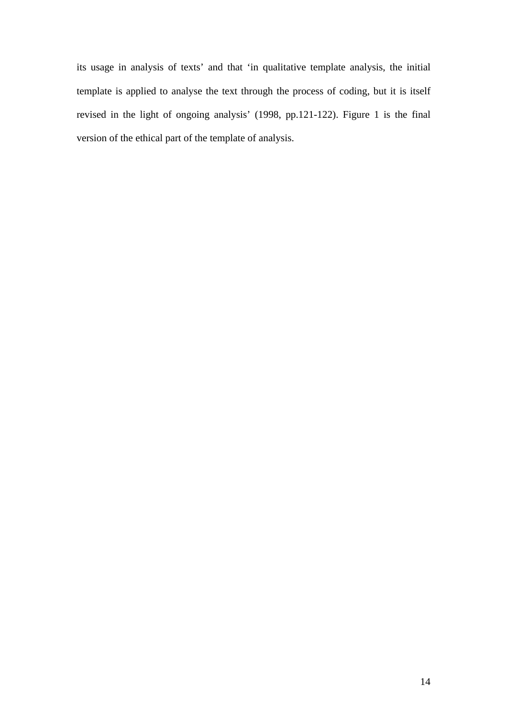its usage in analysis of texts' and that 'in qualitative template analysis, the initial template is applied to analyse the text through the process of coding, but it is itself revised in the light of ongoing analysis' (1998, pp.121-122). Figure 1 is the final version of the ethical part of the template of analysis.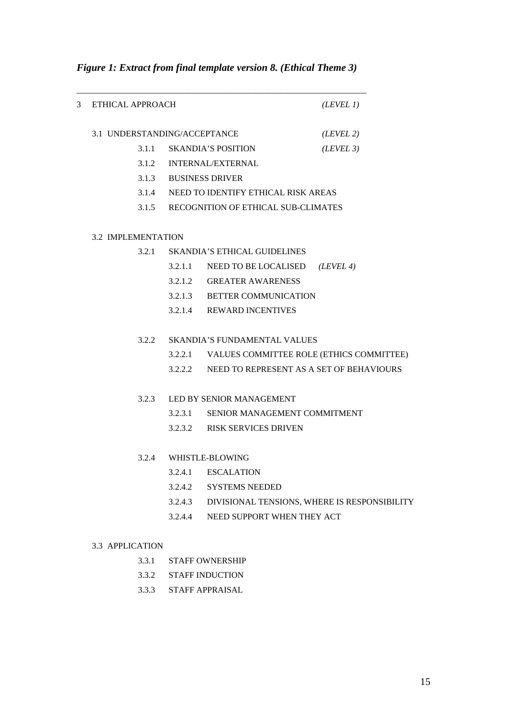| 3 | ETHICAL APPROACH             |                                              |                                                  | (LEVEL 1) |
|---|------------------------------|----------------------------------------------|--------------------------------------------------|-----------|
|   | 3.1 UNDERSTANDING/ACCEPTANCE |                                              |                                                  | (LEVEL 2) |
|   |                              |                                              | 3.1.1 SKANDIA'S POSITION                         | (LEVEL 3) |
|   |                              |                                              | 3.1.2 INTERNAL/EXTERNAL                          |           |
|   |                              |                                              | 3.1.3 BUSINESS DRIVER                            |           |
|   |                              |                                              | 3.1.4 NEED TO IDENTIFY ETHICAL RISK AREAS        |           |
|   |                              |                                              | 3.1.5 RECOGNITION OF ETHICAL SUB-CLIMATES        |           |
|   | <b>3.2 IMPLEMENTATION</b>    |                                              |                                                  |           |
|   |                              | <b>SKANDIA'S ETHICAL GUIDELINES</b><br>3.2.1 |                                                  |           |
|   |                              |                                              | 3.2.1.1 NEED TO BE LOCALISED                     | (LEVEL 4) |
|   |                              |                                              | 3.2.1.2 GREATER AWARENESS                        |           |
|   |                              |                                              | 3.2.1.3 BETTER COMMUNICATION                     |           |
|   |                              |                                              | 3.2.1.4 REWARD INCENTIVES                        |           |
|   | 3.2.2                        |                                              | <b>SKANDIA'S FUNDAMENTAL VALUES</b>              |           |
|   |                              |                                              | 3.2.2.1 VALUES COMMITTEE ROLE (ETHICS COMMITTEE) |           |
|   |                              |                                              | 3.2.2.2 NEED TO REPRESENT AS A SET OF BEHAVIOURS |           |
|   | 3.2.3                        |                                              | LED BY SENIOR MANAGEMENT                         |           |
|   |                              | 3.2.3.1                                      | SENIOR MANAGEMENT COMMITMENT                     |           |
|   |                              |                                              | 3.2.3.2 RISK SERVICES DRIVEN                     |           |
|   |                              |                                              | 3.2.4 WHISTLE-BLOWING                            |           |
|   |                              | 3.2.4.1                                      | <b>ESCALATION</b>                                |           |
|   |                              | 3.2.4.2                                      | <b>SYSTEMS NEEDED</b>                            |           |
|   |                              | 3.2.4.3                                      | DIVISIONAL TENSIONS, WHERE IS RESPONSIBILITY     |           |
|   |                              | 3.2.4.4                                      | NEED SUPPORT WHEN THEY ACT                       |           |
|   | 3.3 APPLICATION              |                                              |                                                  |           |
|   | 3.3.1                        |                                              | <b>STAFF OWNERSHIP</b>                           |           |

*Figure 1: Extract from final template version 8. (Ethical Theme 3)* 

- 3.3.2 STAFF INDUCTION
- 3.3.3 STAFF APPRAISAL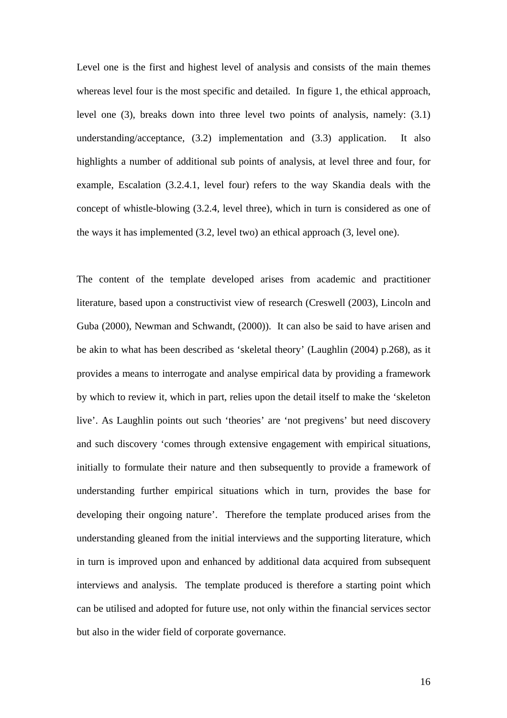Level one is the first and highest level of analysis and consists of the main themes whereas level four is the most specific and detailed. In figure 1, the ethical approach, level one (3), breaks down into three level two points of analysis, namely: (3.1) understanding/acceptance, (3.2) implementation and (3.3) application. It also highlights a number of additional sub points of analysis, at level three and four, for example, Escalation (3.2.4.1, level four) refers to the way Skandia deals with the concept of whistle-blowing (3.2.4, level three), which in turn is considered as one of the ways it has implemented (3.2, level two) an ethical approach (3, level one).

The content of the template developed arises from academic and practitioner literature, based upon a constructivist view of research (Creswell (2003), Lincoln and Guba (2000), Newman and Schwandt, (2000)). It can also be said to have arisen and be akin to what has been described as 'skeletal theory' (Laughlin (2004) p.268), as it provides a means to interrogate and analyse empirical data by providing a framework by which to review it, which in part, relies upon the detail itself to make the 'skeleton live'. As Laughlin points out such 'theories' are 'not pregivens' but need discovery and such discovery 'comes through extensive engagement with empirical situations, initially to formulate their nature and then subsequently to provide a framework of understanding further empirical situations which in turn, provides the base for developing their ongoing nature'. Therefore the template produced arises from the understanding gleaned from the initial interviews and the supporting literature, which in turn is improved upon and enhanced by additional data acquired from subsequent interviews and analysis. The template produced is therefore a starting point which can be utilised and adopted for future use, not only within the financial services sector but also in the wider field of corporate governance.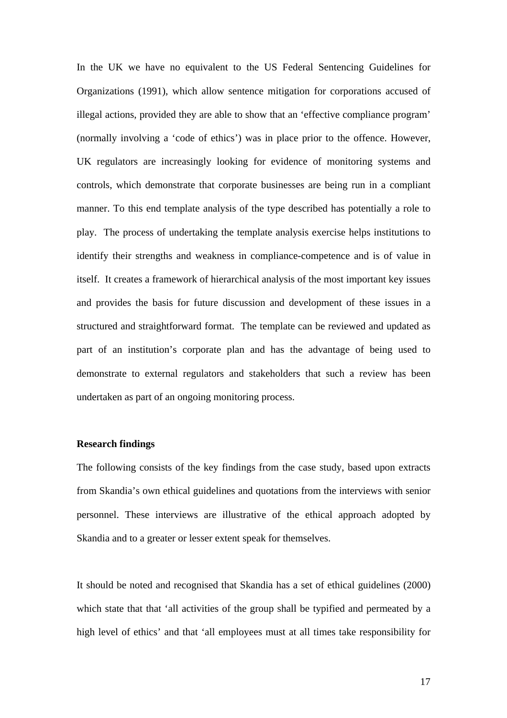In the UK we have no equivalent to the US Federal Sentencing Guidelines for Organizations (1991), which allow sentence mitigation for corporations accused of illegal actions, provided they are able to show that an 'effective compliance program' (normally involving a 'code of ethics') was in place prior to the offence. However, UK regulators are increasingly looking for evidence of monitoring systems and controls, which demonstrate that corporate businesses are being run in a compliant manner. To this end template analysis of the type described has potentially a role to play. The process of undertaking the template analysis exercise helps institutions to identify their strengths and weakness in compliance-competence and is of value in itself. It creates a framework of hierarchical analysis of the most important key issues and provides the basis for future discussion and development of these issues in a structured and straightforward format. The template can be reviewed and updated as part of an institution's corporate plan and has the advantage of being used to demonstrate to external regulators and stakeholders that such a review has been undertaken as part of an ongoing monitoring process.

#### **Research findings**

The following consists of the key findings from the case study, based upon extracts from Skandia's own ethical guidelines and quotations from the interviews with senior personnel. These interviews are illustrative of the ethical approach adopted by Skandia and to a greater or lesser extent speak for themselves.

It should be noted and recognised that Skandia has a set of ethical guidelines (2000) which state that that 'all activities of the group shall be typified and permeated by a high level of ethics' and that 'all employees must at all times take responsibility for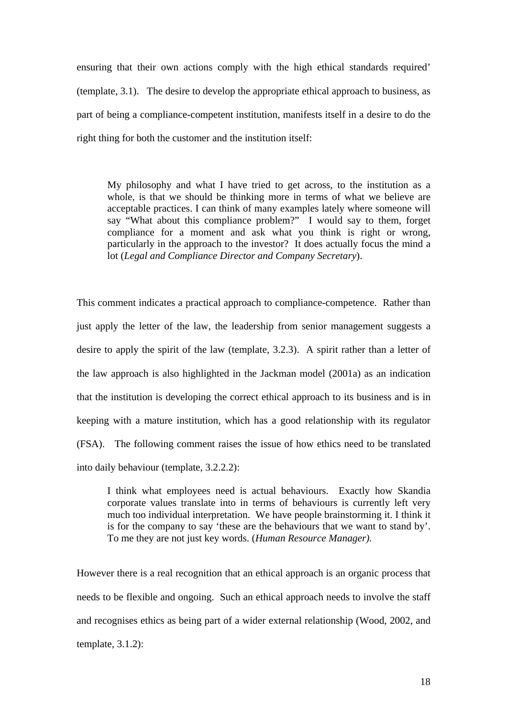ensuring that their own actions comply with the high ethical standards required' (template, 3.1). The desire to develop the appropriate ethical approach to business, as part of being a compliance-competent institution, manifests itself in a desire to do the right thing for both the customer and the institution itself:

My philosophy and what I have tried to get across, to the institution as a whole, is that we should be thinking more in terms of what we believe are acceptable practices. I can think of many examples lately where someone will say "What about this compliance problem?" I would say to them, forget compliance for a moment and ask what you think is right or wrong, particularly in the approach to the investor? It does actually focus the mind a lot (*Legal and Compliance Director and Company Secretary*).

This comment indicates a practical approach to compliance-competence. Rather than just apply the letter of the law, the leadership from senior management suggests a desire to apply the spirit of the law (template, 3.2.3). A spirit rather than a letter of the law approach is also highlighted in the Jackman model (2001a) as an indication that the institution is developing the correct ethical approach to its business and is in keeping with a mature institution, which has a good relationship with its regulator (FSA). The following comment raises the issue of how ethics need to be translated into daily behaviour (template, 3.2.2.2):

I think what employees need is actual behaviours. Exactly how Skandia corporate values translate into in terms of behaviours is currently left very much too individual interpretation. We have people brainstorming it. I think it is for the company to say 'these are the behaviours that we want to stand by'. To me they are not just key words. (*Human Resource Manager).*

However there is a real recognition that an ethical approach is an organic process that needs to be flexible and ongoing. Such an ethical approach needs to involve the staff and recognises ethics as being part of a wider external relationship (Wood, 2002, and template, 3.1.2):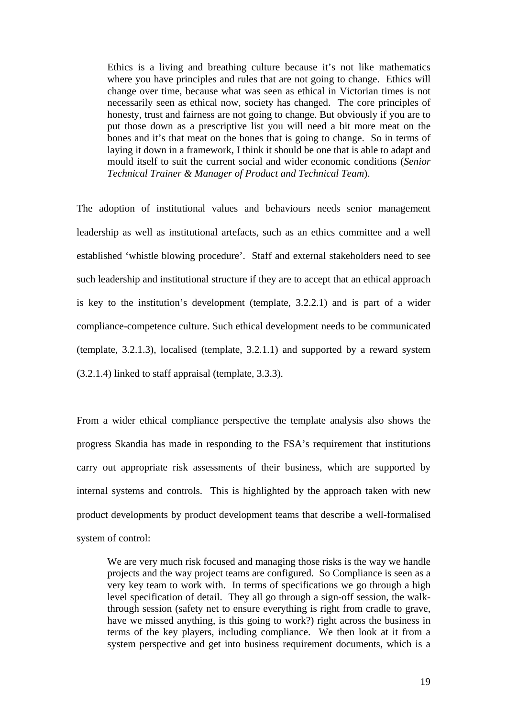Ethics is a living and breathing culture because it's not like mathematics where you have principles and rules that are not going to change. Ethics will change over time, because what was seen as ethical in Victorian times is not necessarily seen as ethical now, society has changed. The core principles of honesty, trust and fairness are not going to change. But obviously if you are to put those down as a prescriptive list you will need a bit more meat on the bones and it's that meat on the bones that is going to change. So in terms of laying it down in a framework, I think it should be one that is able to adapt and mould itself to suit the current social and wider economic conditions (*Senior Technical Trainer & Manager of Product and Technical Team*).

The adoption of institutional values and behaviours needs senior management leadership as well as institutional artefacts, such as an ethics committee and a well established 'whistle blowing procedure'. Staff and external stakeholders need to see such leadership and institutional structure if they are to accept that an ethical approach is key to the institution's development (template, 3.2.2.1) and is part of a wider compliance-competence culture. Such ethical development needs to be communicated (template, 3.2.1.3), localised (template, 3.2.1.1) and supported by a reward system (3.2.1.4) linked to staff appraisal (template, 3.3.3).

From a wider ethical compliance perspective the template analysis also shows the progress Skandia has made in responding to the FSA's requirement that institutions carry out appropriate risk assessments of their business, which are supported by internal systems and controls. This is highlighted by the approach taken with new product developments by product development teams that describe a well-formalised system of control:

We are very much risk focused and managing those risks is the way we handle projects and the way project teams are configured. So Compliance is seen as a very key team to work with. In terms of specifications we go through a high level specification of detail. They all go through a sign-off session, the walkthrough session (safety net to ensure everything is right from cradle to grave, have we missed anything, is this going to work?) right across the business in terms of the key players, including compliance. We then look at it from a system perspective and get into business requirement documents, which is a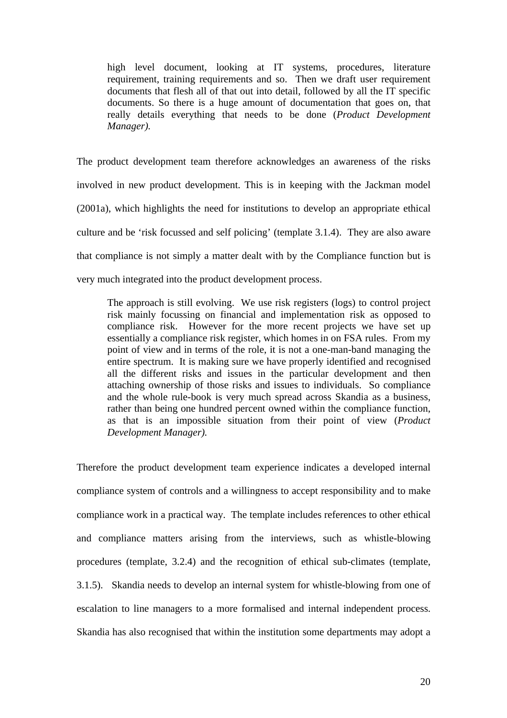high level document, looking at IT systems, procedures, literature requirement, training requirements and so. Then we draft user requirement documents that flesh all of that out into detail, followed by all the IT specific documents. So there is a huge amount of documentation that goes on, that really details everything that needs to be done (*Product Development Manager).*

The product development team therefore acknowledges an awareness of the risks involved in new product development. This is in keeping with the Jackman model (2001a), which highlights the need for institutions to develop an appropriate ethical culture and be 'risk focussed and self policing' (template 3.1.4). They are also aware that compliance is not simply a matter dealt with by the Compliance function but is very much integrated into the product development process.

The approach is still evolving. We use risk registers (logs) to control project risk mainly focussing on financial and implementation risk as opposed to compliance risk. However for the more recent projects we have set up essentially a compliance risk register, which homes in on FSA rules. From my point of view and in terms of the role, it is not a one-man-band managing the entire spectrum. It is making sure we have properly identified and recognised all the different risks and issues in the particular development and then attaching ownership of those risks and issues to individuals. So compliance and the whole rule-book is very much spread across Skandia as a business, rather than being one hundred percent owned within the compliance function, as that is an impossible situation from their point of view (*Product Development Manager).*

Therefore the product development team experience indicates a developed internal compliance system of controls and a willingness to accept responsibility and to make compliance work in a practical way. The template includes references to other ethical and compliance matters arising from the interviews, such as whistle-blowing procedures (template, 3.2.4) and the recognition of ethical sub-climates (template, 3.1.5). Skandia needs to develop an internal system for whistle-blowing from one of escalation to line managers to a more formalised and internal independent process. Skandia has also recognised that within the institution some departments may adopt a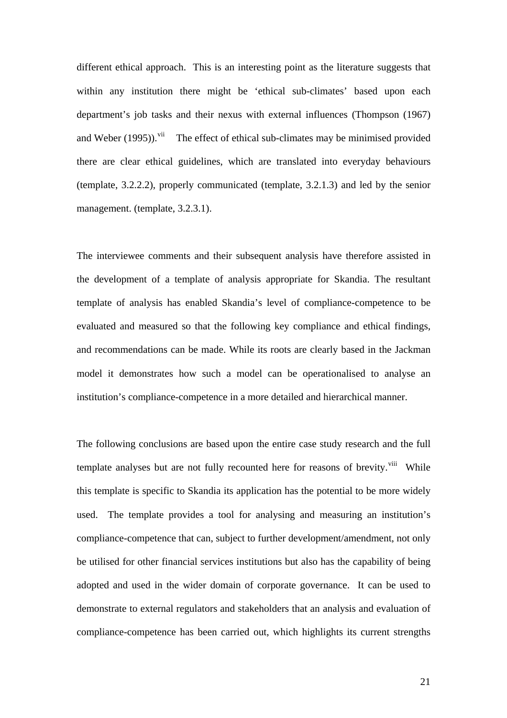different ethical approach. This is an interesting point as the literature suggests that within any institution there might be 'ethical sub-climates' based upon each department's job tasks and their nexus with external influences (Thompson (1967) and Weber  $(1995)$ <sup>[vii](#page-24-1)</sup> The effect of ethical sub-climates may be minimised provided there are clear ethical guidelines, which are translated into everyday behaviours (template, 3.2.2.2), properly communicated (template, 3.2.1.3) and led by the senior management. (template, 3.2.3.1).

The interviewee comments and their subsequent analysis have therefore assisted in the development of a template of analysis appropriate for Skandia. The resultant template of analysis has enabled Skandia's level of compliance-competence to be evaluated and measured so that the following key compliance and ethical findings, and recommendations can be made. While its roots are clearly based in the Jackman model it demonstrates how such a model can be operationalised to analyse an institution's compliance-competence in a more detailed and hierarchical manner.

The following conclusions are based upon the entire case study research and the full template analyses but are not fully recounted here for reasons of brevity.<sup>[viii](#page-24-1)</sup> While this template is specific to Skandia its application has the potential to be more widely used. The template provides a tool for analysing and measuring an institution's compliance-competence that can, subject to further development/amendment, not only be utilised for other financial services institutions but also has the capability of being adopted and used in the wider domain of corporate governance. It can be used to demonstrate to external regulators and stakeholders that an analysis and evaluation of compliance-competence has been carried out, which highlights its current strengths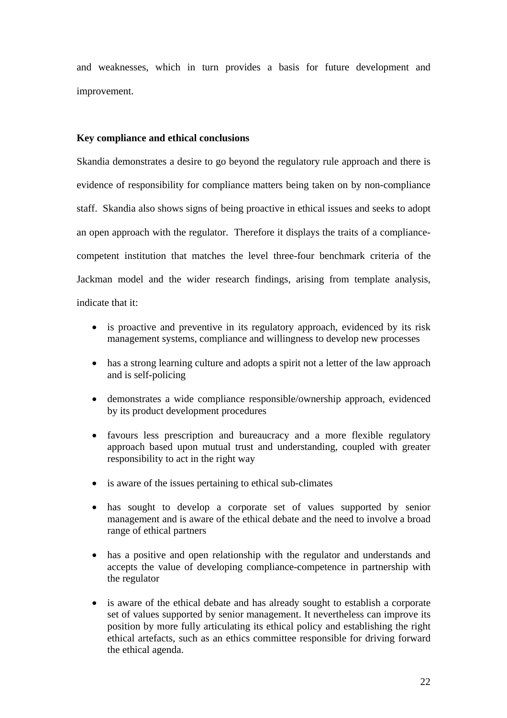and weaknesses, which in turn provides a basis for future development and improvement.

### **Key compliance and ethical conclusions**

Skandia demonstrates a desire to go beyond the regulatory rule approach and there is evidence of responsibility for compliance matters being taken on by non-compliance staff. Skandia also shows signs of being proactive in ethical issues and seeks to adopt an open approach with the regulator. Therefore it displays the traits of a compliancecompetent institution that matches the level three-four benchmark criteria of the Jackman model and the wider research findings, arising from template analysis, indicate that it:

• is proactive and preventive in its regulatory approach, evidenced by its risk management systems, compliance and willingness to develop new processes

- has a strong learning culture and adopts a spirit not a letter of the law approach and is self-policing
- demonstrates a wide compliance responsible/ownership approach, evidenced by its product development procedures
- favours less prescription and bureaucracy and a more flexible regulatory approach based upon mutual trust and understanding, coupled with greater responsibility to act in the right way
- is aware of the issues pertaining to ethical sub-climates
- has sought to develop a corporate set of values supported by senior management and is aware of the ethical debate and the need to involve a broad range of ethical partners
- has a positive and open relationship with the regulator and understands and accepts the value of developing compliance-competence in partnership with the regulator
- is aware of the ethical debate and has already sought to establish a corporate set of values supported by senior management. It nevertheless can improve its position by more fully articulating its ethical policy and establishing the right ethical artefacts, such as an ethics committee responsible for driving forward the ethical agenda.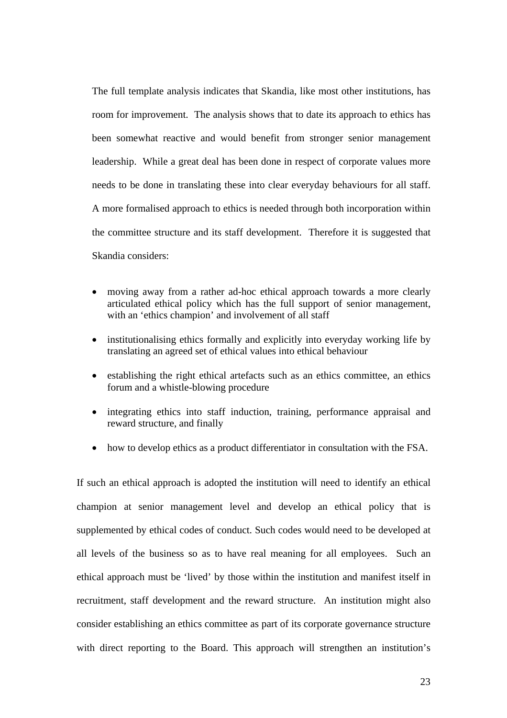The full template analysis indicates that Skandia, like most other institutions, has room for improvement. The analysis shows that to date its approach to ethics has been somewhat reactive and would benefit from stronger senior management leadership. While a great deal has been done in respect of corporate values more needs to be done in translating these into clear everyday behaviours for all staff. A more formalised approach to ethics is needed through both incorporation within the committee structure and its staff development. Therefore it is suggested that Skandia considers:

- moving away from a rather ad-hoc ethical approach towards a more clearly articulated ethical policy which has the full support of senior management, with an 'ethics champion' and involvement of all staff
- institutionalising ethics formally and explicitly into everyday working life by translating an agreed set of ethical values into ethical behaviour
- establishing the right ethical artefacts such as an ethics committee, an ethics forum and a whistle-blowing procedure
- integrating ethics into staff induction, training, performance appraisal and reward structure, and finally
- how to develop ethics as a product differentiator in consultation with the FSA.

If such an ethical approach is adopted the institution will need to identify an ethical champion at senior management level and develop an ethical policy that is supplemented by ethical codes of conduct. Such codes would need to be developed at all levels of the business so as to have real meaning for all employees. Such an ethical approach must be 'lived' by those within the institution and manifest itself in recruitment, staff development and the reward structure. An institution might also consider establishing an ethics committee as part of its corporate governance structure with direct reporting to the Board. This approach will strengthen an institution's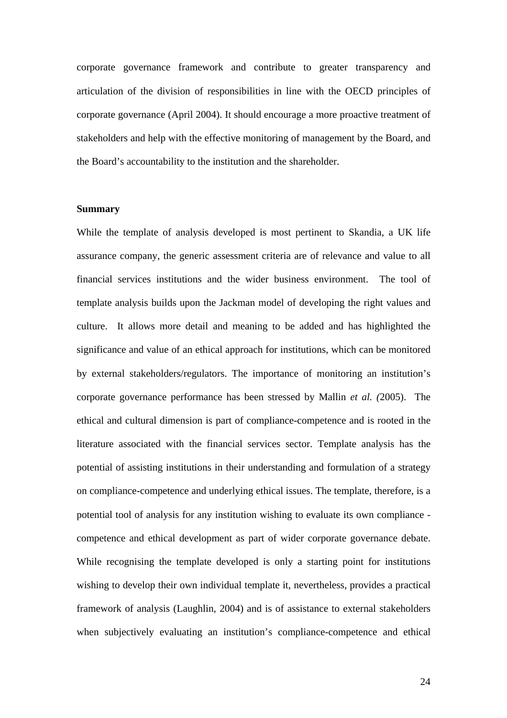corporate governance framework and contribute to greater transparency and articulation of the division of responsibilities in line with the OECD principles of corporate governance (April 2004). It should encourage a more proactive treatment of stakeholders and help with the effective monitoring of management by the Board, and the Board's accountability to the institution and the shareholder.

### **Summary**

While the template of analysis developed is most pertinent to Skandia, a UK life assurance company, the generic assessment criteria are of relevance and value to all financial services institutions and the wider business environment. The tool of template analysis builds upon the Jackman model of developing the right values and culture. It allows more detail and meaning to be added and has highlighted the significance and value of an ethical approach for institutions, which can be monitored by external stakeholders/regulators. The importance of monitoring an institution's corporate governance performance has been stressed by Mallin *et al. (*2005). The ethical and cultural dimension is part of compliance-competence and is rooted in the literature associated with the financial services sector. Template analysis has the potential of assisting institutions in their understanding and formulation of a strategy on compliance-competence and underlying ethical issues. The template, therefore, is a potential tool of analysis for any institution wishing to evaluate its own compliance competence and ethical development as part of wider corporate governance debate. While recognising the template developed is only a starting point for institutions wishing to develop their own individual template it, nevertheless, provides a practical framework of analysis (Laughlin, 2004) and is of assistance to external stakeholders when subjectively evaluating an institution's compliance-competence and ethical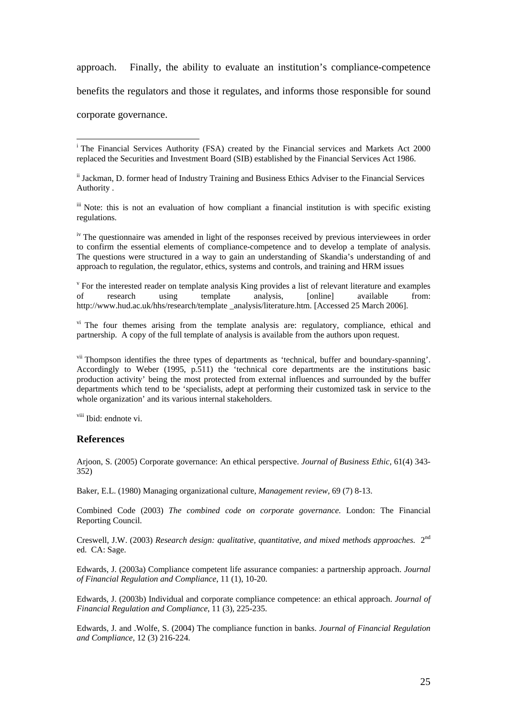<span id="page-24-1"></span>approach. Finally, the ability to evaluate an institution's compliance-competence benefits the regulators and those it regulates, and informs those responsible for sound corporate governance.

ii Jackman, D. former head of Industry Training and Business Ethics Adviser to the Financial Services Authority .

iii Note: this is not an evaluation of how compliant a financial institution is with specific existing regulations.

<sup>iv</sup> The questionnaire was amended in light of the responses received by previous interviewees in order to confirm the essential elements of compliance-competence and to develop a template of analysis. The questions were structured in a way to gain an understanding of Skandia's understanding of and approach to regulation, the regulator, ethics, systems and controls, and training and HRM issues

<sup>v</sup> For the interested reader on template analysis King provides a list of relevant literature and examples of research using template analysis, [online] available from: http://www.hud.ac.uk/hhs/research/template analysis/literature.htm. [Accessed 25 March 2006].

<sup>vi</sup> The four themes arising from the template analysis are: regulatory, compliance, ethical and partnership. A copy of the full template of analysis is available from the authors upon request.

<sup>vii</sup> Thompson identifies the three types of departments as 'technical, buffer and boundary-spanning'. Accordingly to Weber (1995, p.511) the 'technical core departments are the institutions basic production activity' being the most protected from external influences and surrounded by the buffer departments which tend to be 'specialists, adept at performing their customized task in service to the whole organization' and its various internal stakeholders.

viii Ibid: endnote vi.

#### **References**

Arjoon, S. (2005) Corporate governance: An ethical perspective. *Journal of Business Ethic,* 61(4) 343- 352)

Baker, E.L. (1980) Managing organizational culture, *Management review,* 69 (7) 8-13.

Combined Code (2003) *The combined code on corporate governance.* London: The Financial Reporting Council.

Creswell, J.W. (2003) *Research design: qualitative, quantitative, and mixed methods approaches.* 2nd ed. CA: Sage.

Edwards, J. (2003a) Compliance competent life assurance companies: a partnership approach. *Journal of Financial Regulation and Compliance*, 11 (1), 10-20.

Edwards, J. (2003b) Individual and corporate compliance competence: an ethical approach. *Journal of Financial Regulation and Compliance*, 11 (3), 225-235.

Edwards, J. and .Wolfe, S. (2004) The compliance function in banks. *Journal of Financial Regulation and Compliance*, 12 (3) 216-224.

<span id="page-24-0"></span> $\overline{a}$ <sup>i</sup> The Financial Services Authority (FSA) created by the Financial services and Markets Act 2000 replaced the Securities and Investment Board (SIB) established by the Financial Services Act 1986.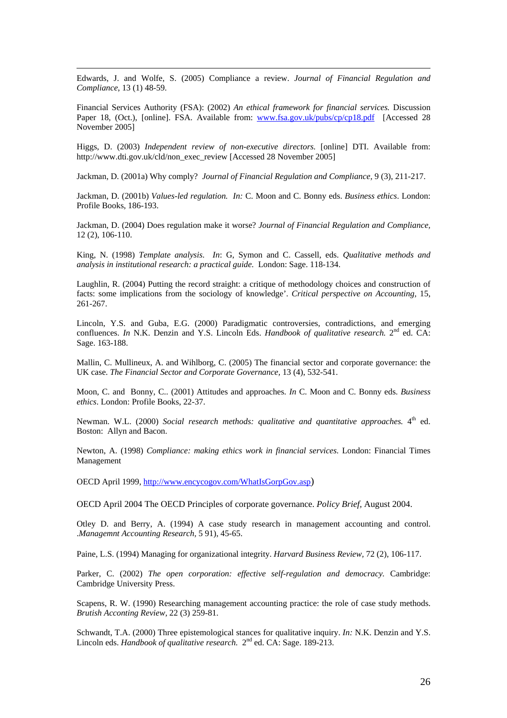Edwards, J. and Wolfe, S. (2005) Compliance a review. *Journal of Financial Regulation and Compliance*, 13 (1) 48-59.

Financial Services Authority (FSA): (2002) *An ethical framework for financial services.* Discussion Paper 18, (Oct.), [online]. FSA. Available from: [www.fsa.gov.uk/pubs/cp/cp18.pdf](http://www.fsa.gov.uk/pubs/cp/cp18.pdf) [Accessed 28 November 2005]

Higgs, D. (2003) *Independent review of non-executive directors.* [online] DTI. Available from: http://www.dti.gov.uk/cld/non\_exec\_review [Accessed 28 November 2005]

Jackman, D. (2001a) Why comply? *Journal of Financial Regulation and Compliance,* 9 (3), 211-217.

Jackman, D. (2001b) *Values-led regulation. In:* C. Moon and C. Bonny eds. *Business ethics*. London: Profile Books, 186-193.

Jackman, D. (2004) Does regulation make it worse? *Journal of Financial Regulation and Compliance,* 12 (2), 106-110.

King, N. (1998) *Template analysis*. *In*: G, Symon and C. Cassell, eds. *Qualitative methods and analysis in institutional research: a practical guide.* London: Sage. 118-134.

Laughlin, R. (2004) Putting the record straight: a critique of methodology choices and construction of facts: some implications from the sociology of knowledge'. *Critical perspective on Accounting,* 15, 261-267.

Lincoln, Y.S. and Guba, E.G. (2000) Paradigmatic controversies, contradictions, and emerging confluences. *In* N.K. Denzin and Y.S. Lincoln Eds. *Handbook of qualitative research*. 2<sup>nd</sup> ed. CA: Sage. 163-188.

Mallin, C. Mullineux, A. and Wihlborg, C. (2005) The financial sector and corporate governance: the UK case. *The Financial Sector and Corporate Governance,* 13 (4), 532-541.

Moon, C. and Bonny, C.. (2001) Attitudes and approaches. *In* C. Moon and C. Bonny eds. *Business ethics*. London: Profile Books, 22-37.

Newman. W.L. (2000) *Social research methods: qualitative and quantitative approaches*. 4<sup>th</sup> ed. Boston: Allyn and Bacon.

Newton, A. (1998) *Compliance: making ethics work in financial services.* London: Financial Times Management

OECD April 1999, [http://www.encycogov.com/WhatIsGorpGov.asp\)](http://www.encycogov.com/WhatIsGorpGov.asp)

OECD April 2004 The OECD Principles of corporate governance. *Policy Brief,* August 2004.

Otley D. and Berry, A. (1994) A case study research in management accounting and control. .*Managemnt Accounting Research,* 5 91), 45-65.

Paine, L.S. (1994) Managing for organizational integrity. *Harvard Business Review,* 72 (2), 106-117.

Parker, C. (2002) *The open corporation: effective self-regulation and democracy*. Cambridge: Cambridge University Press.

Scapens, R. W. (1990) Researching management accounting practice: the role of case study methods. *Brutish Acconting Review,* 22 (3) 259-81.

Schwandt, T.A. (2000) Three epistemological stances for qualitative inquiry. *In:* N.K. Denzin and Y.S. Lincoln eds. *Handbook of qualitative research.*  $2^{nd}$  ed. CA: Sage. 189-213.